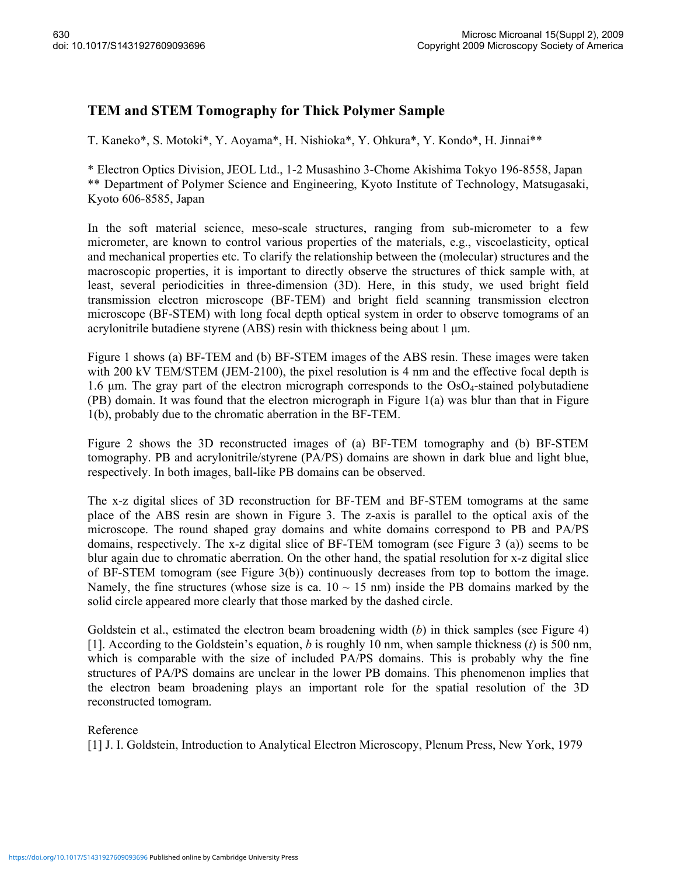## **TEM and STEM Tomography for Thick Polymer Sample**

T. Kaneko\*, S. Motoki\*, Y. Aoyama\*, H. Nishioka\*, Y. Ohkura\*, Y. Kondo\*, H. Jinnai\*\*

\* Electron Optics Division, JEOL Ltd., 1-2 Musashino 3-Chome Akishima Tokyo 196-8558, Japan \*\* Department of Polymer Science and Engineering, Kyoto Institute of Technology, Matsugasaki, Kyoto 606-8585, Japan

In the soft material science, meso-scale structures, ranging from sub-micrometer to a few micrometer, are known to control various properties of the materials, e.g., viscoelasticity, optical and mechanical properties etc. To clarify the relationship between the (molecular) structures and the macroscopic properties, it is important to directly observe the structures of thick sample with, at least, several periodicities in three-dimension (3D). Here, in this study, we used bright field transmission electron microscope (BF-TEM) and bright field scanning transmission electron microscope (BF-STEM) with long focal depth optical system in order to observe tomograms of an acrylonitrile butadiene styrene (ABS) resin with thickness being about 1  $\mu$ m.

Figure 1 shows (a) BF-TEM and (b) BF-STEM images of the ABS resin. These images were taken with 200 kV TEM/STEM (JEM-2100), the pixel resolution is 4 nm and the effective focal depth is 1.6  $\mu$ m. The gray part of the electron micrograph corresponds to the OsO<sub>4</sub>-stained polybutadiene (PB) domain. It was found that the electron micrograph in Figure 1(a) was blur than that in Figure 1(b), probably due to the chromatic aberration in the BF-TEM.

Figure 2 shows the 3D reconstructed images of (a) BF-TEM tomography and (b) BF-STEM tomography. PB and acrylonitrile/styrene (PA/PS) domains are shown in dark blue and light blue, respectively. In both images, ball-like PB domains can be observed.

The x-z digital slices of 3D reconstruction for BF-TEM and BF-STEM tomograms at the same place of the ABS resin are shown in Figure 3. The z-axis is parallel to the optical axis of the microscope. The round shaped gray domains and white domains correspond to PB and PA/PS domains, respectively. The x-z digital slice of BF-TEM tomogram (see Figure 3 (a)) seems to be blur again due to chromatic aberration. On the other hand, the spatial resolution for x-z digital slice of BF-STEM tomogram (see Figure 3(b)) continuously decreases from top to bottom the image. Namely, the fine structures (whose size is ca.  $10 \sim 15$  nm) inside the PB domains marked by the solid circle appeared more clearly that those marked by the dashed circle.

Goldstein et al., estimated the electron beam broadening width (*b*) in thick samples (see Figure 4) [1]. According to the Goldstein's equation, *b* is roughly 10 nm, when sample thickness (*t*) is 500 nm, which is comparable with the size of included PA/PS domains. This is probably why the fine structures of PA/PS domains are unclear in the lower PB domains. This phenomenon implies that the electron beam broadening plays an important role for the spatial resolution of the 3D reconstructed tomogram.

## Reference

[1] J. I. Goldstein, Introduction to Analytical Electron Microscopy, Plenum Press, New York, 1979